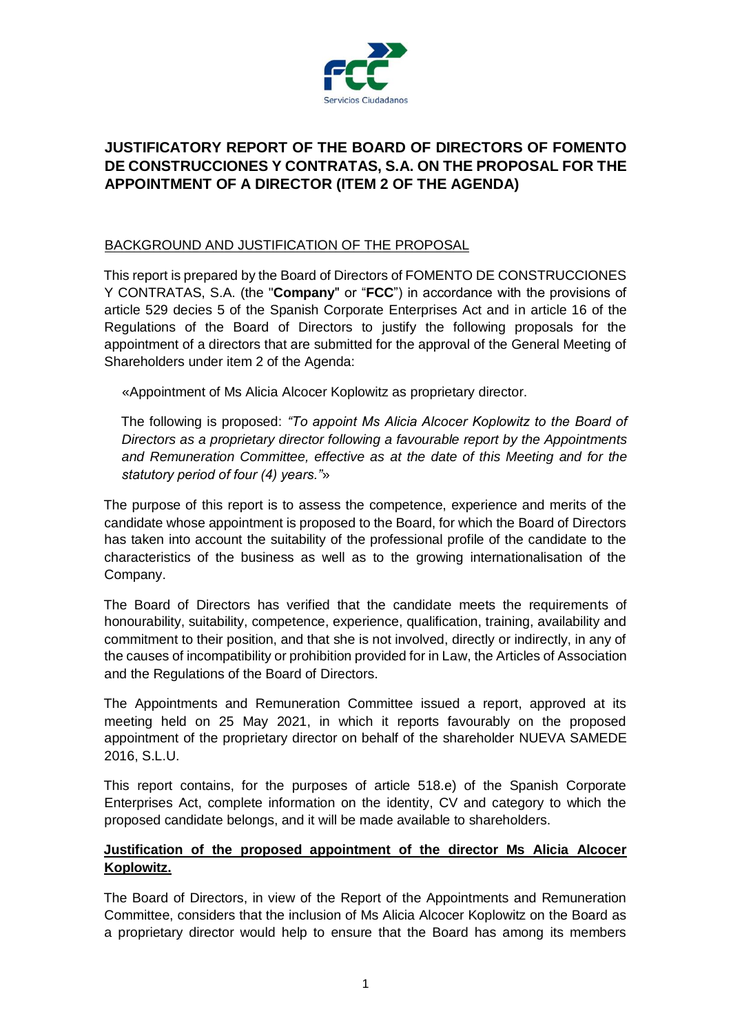

## **JUSTIFICATORY REPORT OF THE BOARD OF DIRECTORS OF FOMENTO DE CONSTRUCCIONES Y CONTRATAS, S.A. ON THE PROPOSAL FOR THE APPOINTMENT OF A DIRECTOR (ITEM 2 OF THE AGENDA)**

## BACKGROUND AND JUSTIFICATION OF THE PROPOSAL

This report is prepared by the Board of Directors of FOMENTO DE CONSTRUCCIONES Y CONTRATAS, S.A. (the "**Company**" or "**FCC**") in accordance with the provisions of article 529 decies 5 of the Spanish Corporate Enterprises Act and in article 16 of the Regulations of the Board of Directors to justify the following proposals for the appointment of a directors that are submitted for the approval of the General Meeting of Shareholders under item 2 of the Agenda:

«Appointment of Ms Alicia Alcocer Koplowitz as proprietary director.

The following is proposed: *"To appoint Ms Alicia Alcocer Koplowitz to the Board of Directors as a proprietary director following a favourable report by the Appointments and Remuneration Committee, effective as at the date of this Meeting and for the statutory period of four (4) years."*»

The purpose of this report is to assess the competence, experience and merits of the candidate whose appointment is proposed to the Board, for which the Board of Directors has taken into account the suitability of the professional profile of the candidate to the characteristics of the business as well as to the growing internationalisation of the Company.

The Board of Directors has verified that the candidate meets the requirements of honourability, suitability, competence, experience, qualification, training, availability and commitment to their position, and that she is not involved, directly or indirectly, in any of the causes of incompatibility or prohibition provided for in Law, the Articles of Association and the Regulations of the Board of Directors.

The Appointments and Remuneration Committee issued a report, approved at its meeting held on 25 May 2021, in which it reports favourably on the proposed appointment of the proprietary director on behalf of the shareholder NUEVA SAMEDE 2016, S.L.U.

This report contains, for the purposes of article 518.e) of the Spanish Corporate Enterprises Act, complete information on the identity, CV and category to which the proposed candidate belongs, and it will be made available to shareholders.

## **Justification of the proposed appointment of the director Ms Alicia Alcocer Koplowitz.**

The Board of Directors, in view of the Report of the Appointments and Remuneration Committee, considers that the inclusion of Ms Alicia Alcocer Koplowitz on the Board as a proprietary director would help to ensure that the Board has among its members